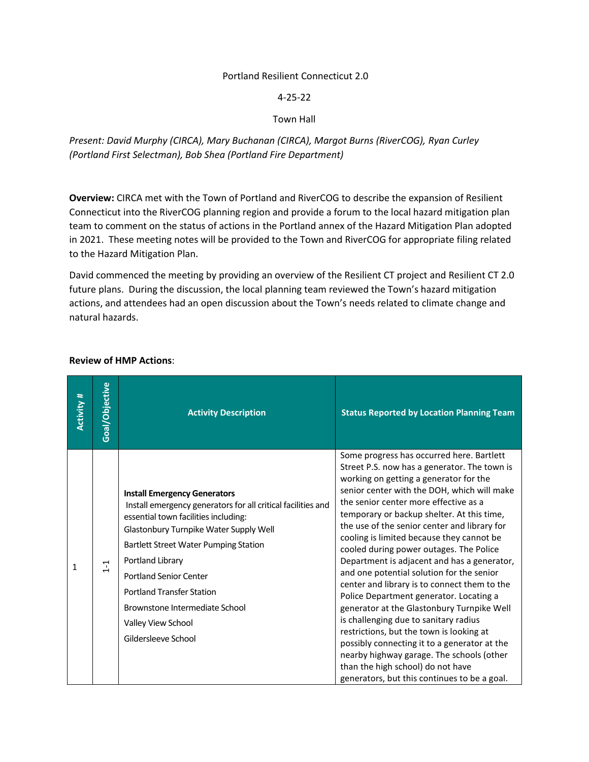## Portland Resilient Connecticut 2.0

4-25-22

Town Hall

*Present: David Murphy (CIRCA), Mary Buchanan (CIRCA), Margot Burns (RiverCOG), Ryan Curley (Portland First Selectman), Bob Shea (Portland Fire Department)*

**Overview:** CIRCA met with the Town of Portland and RiverCOG to describe the expansion of Resilient Connecticut into the RiverCOG planning region and provide a forum to the local hazard mitigation plan team to comment on the status of actions in the Portland annex of the Hazard Mitigation Plan adopted in 2021. These meeting notes will be provided to the Town and RiverCOG for appropriate filing related to the Hazard Mitigation Plan.

David commenced the meeting by providing an overview of the Resilient CT project and Resilient CT 2.0 future plans. During the discussion, the local planning team reviewed the Town's hazard mitigation actions, and attendees had an open discussion about the Town's needs related to climate change and natural hazards.

| <b>Activity #</b> | Goal/Objective | <b>Activity Description</b>                                                                                                                                                                                                                                                                                                                                                                            | <b>Status Reported by Location Planning Team</b>                                                                                                                                                                                                                                                                                                                                                                                                                                                                                                                                                                                                                                                                                                                                                                                                                                                                              |
|-------------------|----------------|--------------------------------------------------------------------------------------------------------------------------------------------------------------------------------------------------------------------------------------------------------------------------------------------------------------------------------------------------------------------------------------------------------|-------------------------------------------------------------------------------------------------------------------------------------------------------------------------------------------------------------------------------------------------------------------------------------------------------------------------------------------------------------------------------------------------------------------------------------------------------------------------------------------------------------------------------------------------------------------------------------------------------------------------------------------------------------------------------------------------------------------------------------------------------------------------------------------------------------------------------------------------------------------------------------------------------------------------------|
| 1                 | $\overline{1}$ | <b>Install Emergency Generators</b><br>Install emergency generators for all critical facilities and<br>essential town facilities including:<br>Glastonbury Turnpike Water Supply Well<br>Bartlett Street Water Pumping Station<br>Portland Library<br><b>Portland Senior Center</b><br><b>Portland Transfer Station</b><br>Brownstone Intermediate School<br>Valley View School<br>Gildersleeve School | Some progress has occurred here. Bartlett<br>Street P.S. now has a generator. The town is<br>working on getting a generator for the<br>senior center with the DOH, which will make<br>the senior center more effective as a<br>temporary or backup shelter. At this time,<br>the use of the senior center and library for<br>cooling is limited because they cannot be<br>cooled during power outages. The Police<br>Department is adjacent and has a generator,<br>and one potential solution for the senior<br>center and library is to connect them to the<br>Police Department generator. Locating a<br>generator at the Glastonbury Turnpike Well<br>is challenging due to sanitary radius<br>restrictions, but the town is looking at<br>possibly connecting it to a generator at the<br>nearby highway garage. The schools (other<br>than the high school) do not have<br>generators, but this continues to be a goal. |

## **Review of HMP Actions**: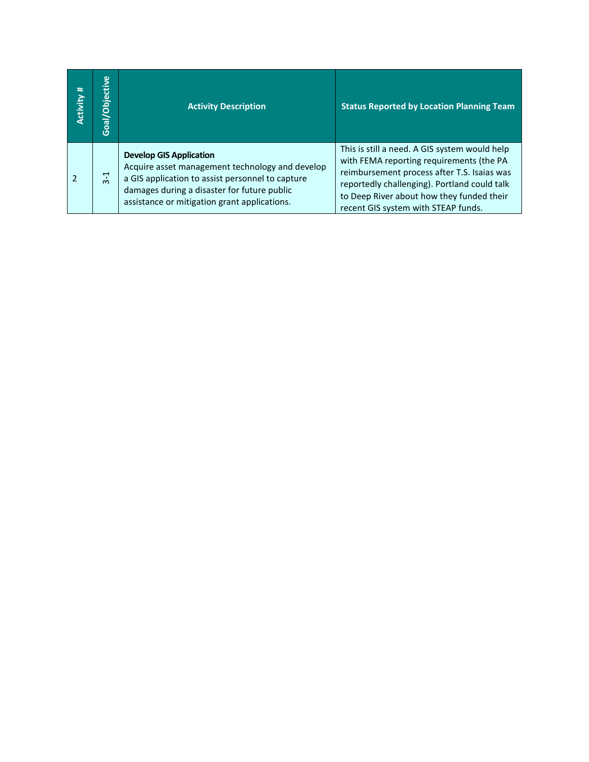| #<br>Activity | Goal/Objective | <b>Activity Description</b>                                                                                                                                                                                                          | <b>Status Reported by Location Planning Team</b>                                                                                                                                                                                                                             |
|---------------|----------------|--------------------------------------------------------------------------------------------------------------------------------------------------------------------------------------------------------------------------------------|------------------------------------------------------------------------------------------------------------------------------------------------------------------------------------------------------------------------------------------------------------------------------|
|               | $3-1$          | <b>Develop GIS Application</b><br>Acquire asset management technology and develop<br>a GIS application to assist personnel to capture<br>damages during a disaster for future public<br>assistance or mitigation grant applications. | This is still a need. A GIS system would help<br>with FEMA reporting requirements (the PA<br>reimbursement process after T.S. Isaias was<br>reportedly challenging). Portland could talk<br>to Deep River about how they funded their<br>recent GIS system with STEAP funds. |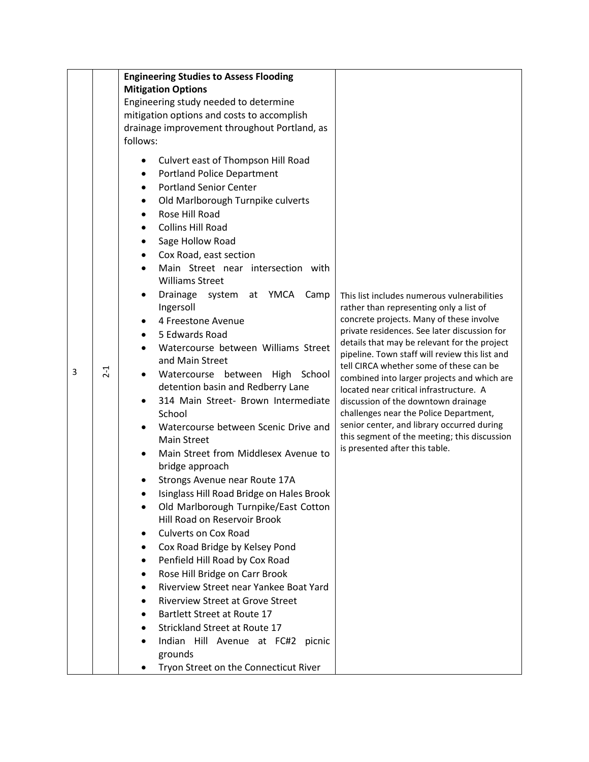|   |       | <b>Engineering Studies to Assess Flooding</b>                                                                                                                                                                                                                                                                                                                                                                                                                                                                                                                                                                                                                                                                                                                                                                                                                                                                                                                                                                                                                                                                                                                                                                                          |                                                                                                                                                                                                                                                                                                                                                                                                                                                                                                                                                                                                                                            |
|---|-------|----------------------------------------------------------------------------------------------------------------------------------------------------------------------------------------------------------------------------------------------------------------------------------------------------------------------------------------------------------------------------------------------------------------------------------------------------------------------------------------------------------------------------------------------------------------------------------------------------------------------------------------------------------------------------------------------------------------------------------------------------------------------------------------------------------------------------------------------------------------------------------------------------------------------------------------------------------------------------------------------------------------------------------------------------------------------------------------------------------------------------------------------------------------------------------------------------------------------------------------|--------------------------------------------------------------------------------------------------------------------------------------------------------------------------------------------------------------------------------------------------------------------------------------------------------------------------------------------------------------------------------------------------------------------------------------------------------------------------------------------------------------------------------------------------------------------------------------------------------------------------------------------|
|   |       | <b>Mitigation Options</b>                                                                                                                                                                                                                                                                                                                                                                                                                                                                                                                                                                                                                                                                                                                                                                                                                                                                                                                                                                                                                                                                                                                                                                                                              |                                                                                                                                                                                                                                                                                                                                                                                                                                                                                                                                                                                                                                            |
|   |       | Engineering study needed to determine                                                                                                                                                                                                                                                                                                                                                                                                                                                                                                                                                                                                                                                                                                                                                                                                                                                                                                                                                                                                                                                                                                                                                                                                  |                                                                                                                                                                                                                                                                                                                                                                                                                                                                                                                                                                                                                                            |
|   |       | mitigation options and costs to accomplish                                                                                                                                                                                                                                                                                                                                                                                                                                                                                                                                                                                                                                                                                                                                                                                                                                                                                                                                                                                                                                                                                                                                                                                             |                                                                                                                                                                                                                                                                                                                                                                                                                                                                                                                                                                                                                                            |
|   |       |                                                                                                                                                                                                                                                                                                                                                                                                                                                                                                                                                                                                                                                                                                                                                                                                                                                                                                                                                                                                                                                                                                                                                                                                                                        |                                                                                                                                                                                                                                                                                                                                                                                                                                                                                                                                                                                                                                            |
|   |       | follows:                                                                                                                                                                                                                                                                                                                                                                                                                                                                                                                                                                                                                                                                                                                                                                                                                                                                                                                                                                                                                                                                                                                                                                                                                               |                                                                                                                                                                                                                                                                                                                                                                                                                                                                                                                                                                                                                                            |
| 3 | $2-1$ | drainage improvement throughout Portland, as<br>Culvert east of Thompson Hill Road<br><b>Portland Police Department</b><br>٠<br><b>Portland Senior Center</b><br>Old Marlborough Turnpike culverts<br>Rose Hill Road<br>$\bullet$<br><b>Collins Hill Road</b><br>Sage Hollow Road<br>٠<br>Cox Road, east section<br>Main Street near intersection with<br><b>Williams Street</b><br>Drainage system at YMCA Camp<br>Ingersoll<br>4 Freestone Avenue<br>5 Edwards Road<br>Watercourse between Williams Street<br>and Main Street<br>Watercourse between High School<br>detention basin and Redberry Lane<br>314 Main Street- Brown Intermediate<br>School<br>Watercourse between Scenic Drive and<br><b>Main Street</b><br>Main Street from Middlesex Avenue to<br>bridge approach<br>Strongs Avenue near Route 17A<br>Isinglass Hill Road Bridge on Hales Brook<br>Old Marlborough Turnpike/East Cotton<br>Hill Road on Reservoir Brook<br><b>Culverts on Cox Road</b><br>Cox Road Bridge by Kelsey Pond<br>Penfield Hill Road by Cox Road<br>٠<br>Rose Hill Bridge on Carr Brook<br>Riverview Street near Yankee Boat Yard<br><b>Riverview Street at Grove Street</b><br>Bartlett Street at Route 17<br>Strickland Street at Route 17 | This list includes numerous vulnerabilities<br>rather than representing only a list of<br>concrete projects. Many of these involve<br>private residences. See later discussion for<br>details that may be relevant for the project<br>pipeline. Town staff will review this list and<br>tell CIRCA whether some of these can be<br>combined into larger projects and which are<br>located near critical infrastructure. A<br>discussion of the downtown drainage<br>challenges near the Police Department,<br>senior center, and library occurred during<br>this segment of the meeting; this discussion<br>is presented after this table. |
|   |       | Indian Hill Avenue at FC#2 picnic                                                                                                                                                                                                                                                                                                                                                                                                                                                                                                                                                                                                                                                                                                                                                                                                                                                                                                                                                                                                                                                                                                                                                                                                      |                                                                                                                                                                                                                                                                                                                                                                                                                                                                                                                                                                                                                                            |
|   |       | grounds                                                                                                                                                                                                                                                                                                                                                                                                                                                                                                                                                                                                                                                                                                                                                                                                                                                                                                                                                                                                                                                                                                                                                                                                                                |                                                                                                                                                                                                                                                                                                                                                                                                                                                                                                                                                                                                                                            |
|   |       | Tryon Street on the Connecticut River                                                                                                                                                                                                                                                                                                                                                                                                                                                                                                                                                                                                                                                                                                                                                                                                                                                                                                                                                                                                                                                                                                                                                                                                  |                                                                                                                                                                                                                                                                                                                                                                                                                                                                                                                                                                                                                                            |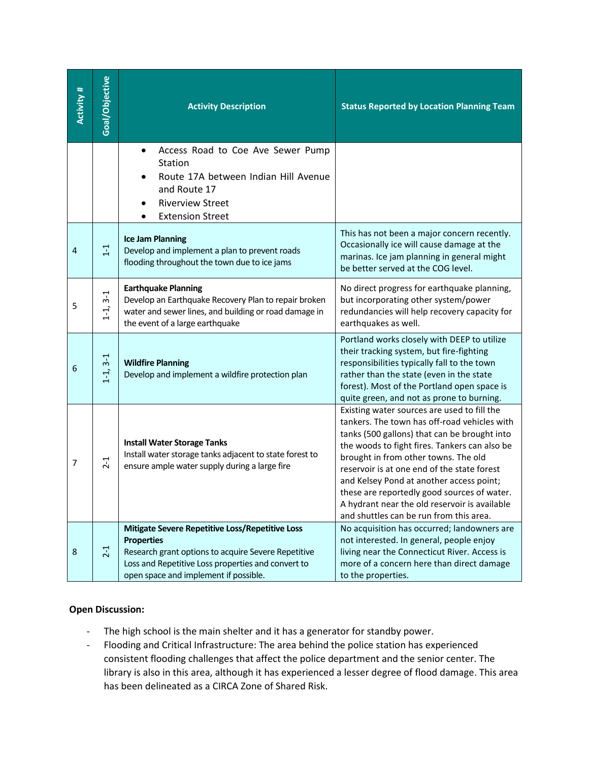| <b>Activity #</b> | Goal/Objective | <b>Activity Description</b>                                                                                                                                                                                                | <b>Status Reported by Location Planning Team</b>                                                                                                                                                                                                                                                                                                                                                                                                                           |
|-------------------|----------------|----------------------------------------------------------------------------------------------------------------------------------------------------------------------------------------------------------------------------|----------------------------------------------------------------------------------------------------------------------------------------------------------------------------------------------------------------------------------------------------------------------------------------------------------------------------------------------------------------------------------------------------------------------------------------------------------------------------|
|                   |                | Access Road to Coe Ave Sewer Pump<br>Station<br>Route 17A between Indian Hill Avenue<br>and Route 17<br><b>Riverview Street</b><br><b>Extension Street</b>                                                                 |                                                                                                                                                                                                                                                                                                                                                                                                                                                                            |
| 4                 | $1 - 1$        | <b>Ice Jam Planning</b><br>Develop and implement a plan to prevent roads<br>flooding throughout the town due to ice jams                                                                                                   | This has not been a major concern recently.<br>Occasionally ice will cause damage at the<br>marinas. Ice jam planning in general might<br>be better served at the COG level.                                                                                                                                                                                                                                                                                               |
| 5                 | $1-1, 3-1$     | <b>Earthquake Planning</b><br>Develop an Earthquake Recovery Plan to repair broken<br>water and sewer lines, and building or road damage in<br>the event of a large earthquake                                             | No direct progress for earthquake planning,<br>but incorporating other system/power<br>redundancies will help recovery capacity for<br>earthquakes as well.                                                                                                                                                                                                                                                                                                                |
| 6                 | $1 - 1, 3 - 1$ | <b>Wildfire Planning</b><br>Develop and implement a wildfire protection plan                                                                                                                                               | Portland works closely with DEEP to utilize<br>their tracking system, but fire-fighting<br>responsibilities typically fall to the town<br>rather than the state (even in the state<br>forest). Most of the Portland open space is<br>quite green, and not as prone to burning.                                                                                                                                                                                             |
| 7                 | $2 - 1$        | <b>Install Water Storage Tanks</b><br>Install water storage tanks adjacent to state forest to<br>ensure ample water supply during a large fire                                                                             | Existing water sources are used to fill the<br>tankers. The town has off-road vehicles with<br>tanks (500 gallons) that can be brought into<br>the woods to fight fires. Tankers can also be<br>brought in from other towns. The old<br>reservoir is at one end of the state forest<br>and Kelsey Pond at another access point;<br>these are reportedly good sources of water.<br>A hydrant near the old reservoir is available<br>and shuttles can be run from this area. |
| 8                 | $2-1$          | Mitigate Severe Repetitive Loss/Repetitive Loss<br><b>Properties</b><br>Research grant options to acquire Severe Repetitive<br>Loss and Repetitive Loss properties and convert to<br>open space and implement if possible. | No acquisition has occurred; landowners are<br>not interested. In general, people enjoy<br>living near the Connecticut River. Access is<br>more of a concern here than direct damage<br>to the properties.                                                                                                                                                                                                                                                                 |

## **Open Discussion:**

- The high school is the main shelter and it has a generator for standby power.
- Flooding and Critical Infrastructure: The area behind the police station has experienced consistent flooding challenges that affect the police department and the senior center. The library is also in this area, although it has experienced a lesser degree of flood damage. This area has been delineated as a CIRCA Zone of Shared Risk.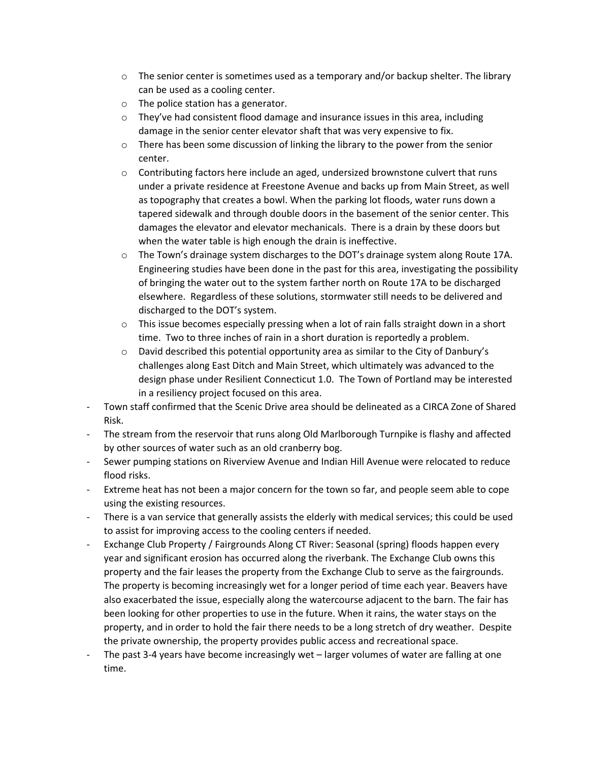- $\circ$  The senior center is sometimes used as a temporary and/or backup shelter. The library can be used as a cooling center.
- o The police station has a generator.
- $\circ$  They've had consistent flood damage and insurance issues in this area, including damage in the senior center elevator shaft that was very expensive to fix.
- $\circ$  There has been some discussion of linking the library to the power from the senior center.
- $\circ$  Contributing factors here include an aged, undersized brownstone culvert that runs under a private residence at Freestone Avenue and backs up from Main Street, as well as topography that creates a bowl. When the parking lot floods, water runs down a tapered sidewalk and through double doors in the basement of the senior center. This damages the elevator and elevator mechanicals. There is a drain by these doors but when the water table is high enough the drain is ineffective.
- $\circ$  The Town's drainage system discharges to the DOT's drainage system along Route 17A. Engineering studies have been done in the past for this area, investigating the possibility of bringing the water out to the system farther north on Route 17A to be discharged elsewhere. Regardless of these solutions, stormwater still needs to be delivered and discharged to the DOT's system.
- $\circ$  This issue becomes especially pressing when a lot of rain falls straight down in a short time. Two to three inches of rain in a short duration is reportedly a problem.
- $\circ$  David described this potential opportunity area as similar to the City of Danbury's challenges along East Ditch and Main Street, which ultimately was advanced to the design phase under Resilient Connecticut 1.0. The Town of Portland may be interested in a resiliency project focused on this area.
- Town staff confirmed that the Scenic Drive area should be delineated as a CIRCA Zone of Shared Risk.
- The stream from the reservoir that runs along Old Marlborough Turnpike is flashy and affected by other sources of water such as an old cranberry bog.
- Sewer pumping stations on Riverview Avenue and Indian Hill Avenue were relocated to reduce flood risks.
- Extreme heat has not been a major concern for the town so far, and people seem able to cope using the existing resources.
- There is a van service that generally assists the elderly with medical services; this could be used to assist for improving access to the cooling centers if needed.
- Exchange Club Property / Fairgrounds Along CT River: Seasonal (spring) floods happen every year and significant erosion has occurred along the riverbank. The Exchange Club owns this property and the fair leases the property from the Exchange Club to serve as the fairgrounds. The property is becoming increasingly wet for a longer period of time each year. Beavers have also exacerbated the issue, especially along the watercourse adjacent to the barn. The fair has been looking for other properties to use in the future. When it rains, the water stays on the property, and in order to hold the fair there needs to be a long stretch of dry weather. Despite the private ownership, the property provides public access and recreational space.
- The past 3-4 years have become increasingly wet larger volumes of water are falling at one time.